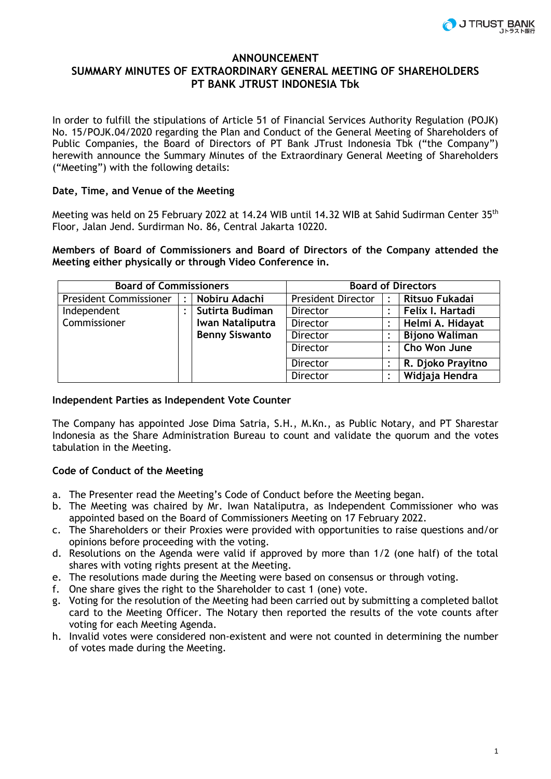## **ANNOUNCEMENT**

# **SUMMARY MINUTES OF EXTRAORDINARY GENERAL MEETING OF SHAREHOLDERS PT BANK JTRUST INDONESIA Tbk**

In order to fulfill the stipulations of Article 51 of Financial Services Authority Regulation (POJK) No. 15/POJK.04/2020 regarding the Plan and Conduct of the General Meeting of Shareholders of Public Companies, the Board of Directors of PT Bank JTrust Indonesia Tbk ("the Company") herewith announce the Summary Minutes of the Extraordinary General Meeting of Shareholders ("Meeting") with the following details:

## **Date, Time, and Venue of the Meeting**

Meeting was held on 25 February 2022 at 14.24 WIB until 14.32 WIB at Sahid Sudirman Center 35th Floor, Jalan Jend. Surdirman No. 86, Central Jakarta 10220.

## **Members of Board of Commissioners and Board of Directors of the Company attended the Meeting either physically or through Video Conference in.**

| <b>Board of Commissioners</b> |  |                       | <b>Board of Directors</b> |           |                       |
|-------------------------------|--|-----------------------|---------------------------|-----------|-----------------------|
| <b>President Commissioner</b> |  | Nobiru Adachi         | <b>President Director</b> | ٠         | Ritsuo Fukadai        |
| Independent                   |  | Sutirta Budiman       | Director                  |           | Felix I. Hartadi      |
| Commissioner                  |  | Iwan Nataliputra      | Director                  |           | Helmi A. Hidayat      |
|                               |  | <b>Benny Siswanto</b> | Director                  |           | <b>Bijono Waliman</b> |
|                               |  |                       | Director                  |           | Cho Won June          |
|                               |  |                       | Director                  |           | R. Djoko Prayitno     |
|                               |  |                       | Director                  | $\bullet$ | Widjaja Hendra        |

#### **Independent Parties as Independent Vote Counter**

The Company has appointed Jose Dima Satria, S.H., M.Kn., as Public Notary, and PT Sharestar Indonesia as the Share Administration Bureau to count and validate the quorum and the votes tabulation in the Meeting.

# **Code of Conduct of the Meeting**

- a. The Presenter read the Meeting's Code of Conduct before the Meeting began.
- b. The Meeting was chaired by Mr. Iwan Nataliputra, as Independent Commissioner who was appointed based on the Board of Commissioners Meeting on 17 February 2022.
- c. The Shareholders or their Proxies were provided with opportunities to raise questions and/or opinions before proceeding with the voting.
- d. Resolutions on the Agenda were valid if approved by more than 1/2 (one half) of the total shares with voting rights present at the Meeting.
- e. The resolutions made during the Meeting were based on consensus or through voting.
- f. One share gives the right to the Shareholder to cast 1 (one) vote.
- g. Voting for the resolution of the Meeting had been carried out by submitting a completed ballot card to the Meeting Officer. The Notary then reported the results of the vote counts after voting for each Meeting Agenda.
- h. Invalid votes were considered non-existent and were not counted in determining the number of votes made during the Meeting.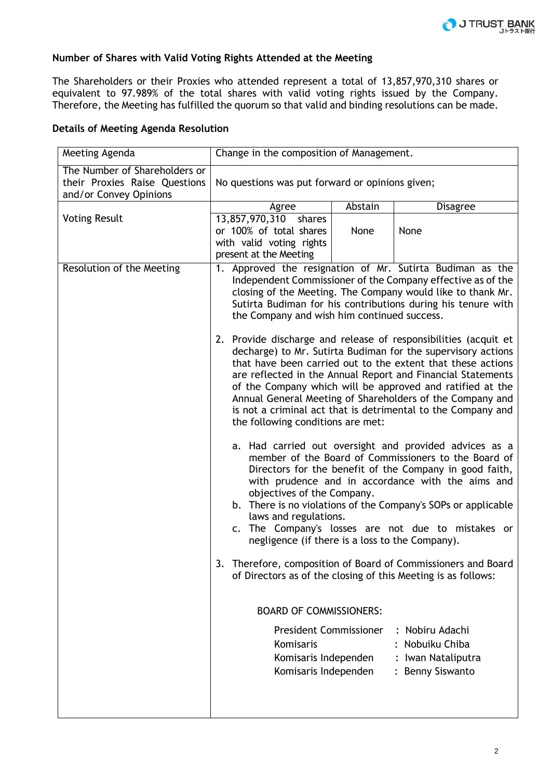

# **Number of Shares with Valid Voting Rights Attended at the Meeting**

The Shareholders or their Proxies who attended represent a total of 13,857,970,310 shares or equivalent to 97.989% of the total shares with valid voting rights issued by the Company. Therefore, the Meeting has fulfilled the quorum so that valid and binding resolutions can be made.

## **Details of Meeting Agenda Resolution**

| Meeting Agenda                                                                           | Change in the composition of Management.                                                                                                                                                                                                                                                                                                                                                                                                                                                                                                                                                                                                                                                                                                                                                                  |                                                                                                                                                                                                                                                                                                                                                                                                                                                                 |                                                                                                                                |  |  |  |
|------------------------------------------------------------------------------------------|-----------------------------------------------------------------------------------------------------------------------------------------------------------------------------------------------------------------------------------------------------------------------------------------------------------------------------------------------------------------------------------------------------------------------------------------------------------------------------------------------------------------------------------------------------------------------------------------------------------------------------------------------------------------------------------------------------------------------------------------------------------------------------------------------------------|-----------------------------------------------------------------------------------------------------------------------------------------------------------------------------------------------------------------------------------------------------------------------------------------------------------------------------------------------------------------------------------------------------------------------------------------------------------------|--------------------------------------------------------------------------------------------------------------------------------|--|--|--|
| The Number of Shareholders or<br>their Proxies Raise Questions<br>and/or Convey Opinions | No questions was put forward or opinions given;                                                                                                                                                                                                                                                                                                                                                                                                                                                                                                                                                                                                                                                                                                                                                           |                                                                                                                                                                                                                                                                                                                                                                                                                                                                 |                                                                                                                                |  |  |  |
|                                                                                          | Agree                                                                                                                                                                                                                                                                                                                                                                                                                                                                                                                                                                                                                                                                                                                                                                                                     | Abstain                                                                                                                                                                                                                                                                                                                                                                                                                                                         | <b>Disagree</b>                                                                                                                |  |  |  |
| <b>Voting Result</b>                                                                     | 13,857,970,310<br>shares<br>or 100% of total shares<br>with valid voting rights<br>present at the Meeting                                                                                                                                                                                                                                                                                                                                                                                                                                                                                                                                                                                                                                                                                                 | None                                                                                                                                                                                                                                                                                                                                                                                                                                                            | None                                                                                                                           |  |  |  |
| Resolution of the Meeting                                                                | Approved the resignation of Mr. Sutirta Budiman as the<br>1.<br>Independent Commissioner of the Company effective as of the<br>closing of the Meeting. The Company would like to thank Mr.<br>Sutirta Budiman for his contributions during his tenure with<br>the Company and wish him continued success.<br>2. Provide discharge and release of responsibilities (acquit et<br>decharge) to Mr. Sutirta Budiman for the supervisory actions<br>that have been carried out to the extent that these actions<br>are reflected in the Annual Report and Financial Statements<br>of the Company which will be approved and ratified at the<br>Annual General Meeting of Shareholders of the Company and<br>is not a criminal act that is detrimental to the Company and<br>the following conditions are met: |                                                                                                                                                                                                                                                                                                                                                                                                                                                                 |                                                                                                                                |  |  |  |
|                                                                                          |                                                                                                                                                                                                                                                                                                                                                                                                                                                                                                                                                                                                                                                                                                                                                                                                           |                                                                                                                                                                                                                                                                                                                                                                                                                                                                 |                                                                                                                                |  |  |  |
|                                                                                          |                                                                                                                                                                                                                                                                                                                                                                                                                                                                                                                                                                                                                                                                                                                                                                                                           | a. Had carried out oversight and provided advices as a<br>member of the Board of Commissioners to the Board of<br>Directors for the benefit of the Company in good faith,<br>with prudence and in accordance with the aims and<br>objectives of the Company.<br>b. There is no violations of the Company's SOPs or applicable<br>laws and regulations.<br>c. The Company's losses are not due to mistakes or<br>negligence (if there is a loss to the Company). |                                                                                                                                |  |  |  |
|                                                                                          |                                                                                                                                                                                                                                                                                                                                                                                                                                                                                                                                                                                                                                                                                                                                                                                                           |                                                                                                                                                                                                                                                                                                                                                                                                                                                                 | 3. Therefore, composition of Board of Commissioners and Board<br>of Directors as of the closing of this Meeting is as follows: |  |  |  |
|                                                                                          | <b>BOARD OF COMMISSIONERS:</b><br><b>President Commissioner</b><br>Komisaris<br>Komisaris Independen<br>Komisaris Independen                                                                                                                                                                                                                                                                                                                                                                                                                                                                                                                                                                                                                                                                              |                                                                                                                                                                                                                                                                                                                                                                                                                                                                 | : Nobiru Adachi<br>: Nobuiku Chiba<br>: Iwan Nataliputra<br><b>Benny Siswanto</b>                                              |  |  |  |
|                                                                                          |                                                                                                                                                                                                                                                                                                                                                                                                                                                                                                                                                                                                                                                                                                                                                                                                           |                                                                                                                                                                                                                                                                                                                                                                                                                                                                 |                                                                                                                                |  |  |  |